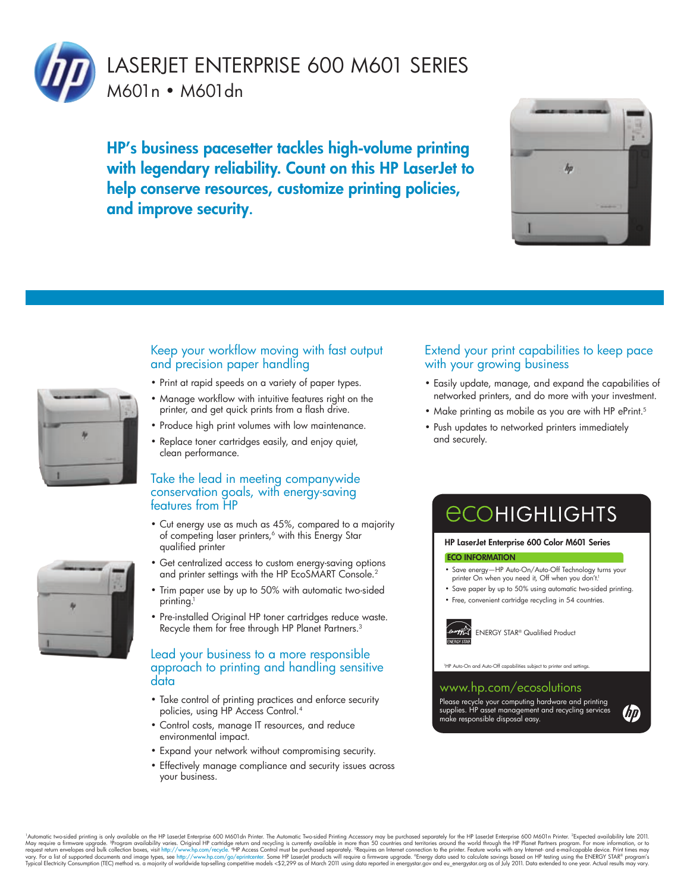

HP's business pacesetter tackles high-volume printing with legendary reliability. Count on this HP LaserJet to help conserve resources, customize printing policies, and improve security.



- Print at rapid speeds on a variety of paper types.
- Manage workflow with intuitive features right on the printer, and get quick prints from a flash drive.
- Produce high print volumes with low maintenance.
- Replace toner cartridges easily, and enjoy quiet, clean performance.

#### Take the lead in meeting companywide conservation goals, with energy-saving features from HP

- Cut energy use as much as 45%, compared to a majority of competing laser printers,<sup>6</sup> with this Energy Star qualified printer
- Get centralized access to custom energy-saving options and printer settings with the HP EcoSMART Console.<sup>2</sup>
- Trim paper use by up to 50% with automatic two-sided printing.<sup>1</sup>
- Pre-installed Original HP toner cartridges reduce waste. Recycle them for free through HP Planet Partners.<sup>3</sup>

#### Lead your business to a more responsible approach to printing and handling sensitive data

- Take control of printing practices and enforce security policies, using HP Access Control.4
- Control costs, manage IT resources, and reduce environmental impact.
- Expand your network without compromising security.
- Effectively manage compliance and security issues across your business.

#### Extend your print capabilities to keep pace with your growing business

- Easily update, manage, and expand the capabilities of networked printers, and do more with your investment.
- Make printing as mobile as you are with HP ePrint.<sup>5</sup>
- Push updates to networked printers immediately and securely.

# **ECOHIGHLIGHTS**

#### HP LaserJet Enterprise 600 Color M601 Series

#### ECO INFORMATION

- Save energy—HP Auto-On/Auto-Off Technology turns your printer On when you need it, Off when you don't.<sup>1</sup>
- Save paper by up to 50% using automatic two-sided printing.
- Free, convenient cartridge recycling in 54 countries.

ENERGY STAR® Qualified Product

110-Off capabilities subi

#### www.hp.com/ecosolutions

Please recycle your computing hardware and printing supplies. HP asset management and recycling services make responsible disposal easy.

(hp





"Advanctic two-sided printing is only availablisty arises Original HP Lastepthe S600 M601 dn Printer. The Automatic Two-sided Printer move than socretary and be purchased separately of the HP lasted Enterprise 500 M601n Pr

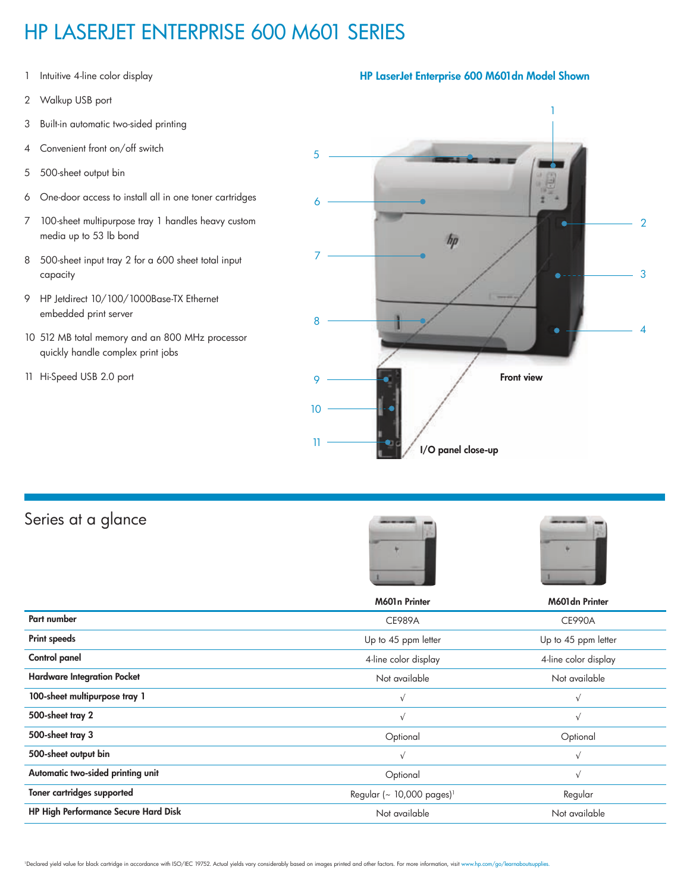## HP LASERJET ENTERPRISE 600 M601 SERIES

- 1 Intuitive 4-line color display
- 2 Walkup USB port
- 3 Built-in automatic two-sided printing
- 4 Convenient front on/off switch
- 5 500-sheet output bin
- 6 One-door access to install all in one toner cartridges
- 7 100-sheet multipurpose tray 1 handles heavy custom media up to 53 lb bond
- 8 500-sheet input tray 2 for a 600 sheet total input capacity
- 9 HP Jetdirect 10/100/1000Base-TX Ethernet embedded print server
- 10 512 MB total memory and an 800 MHz processor quickly handle complex print jobs
- 11 Hi-Speed USB 2.0 port



### Series at a glance





|                                             | M601n Printer                         | M601dn Printer       |
|---------------------------------------------|---------------------------------------|----------------------|
| Part number                                 | <b>CE989A</b>                         | <b>CE990A</b>        |
| <b>Print speeds</b>                         | Up to 45 ppm letter                   | Up to 45 ppm letter  |
| Control panel                               | 4-line color display                  | 4-line color display |
| <b>Hardware Integration Pocket</b>          | Not available                         | Not available        |
| 100-sheet multipurpose tray 1               | $\sqrt{}$                             | $\sqrt{ }$           |
| 500-sheet tray 2                            | $\sqrt{}$                             | $\sqrt{ }$           |
| 500-sheet tray 3                            | Optional                              | Optional             |
| 500-sheet output bin                        | $\sqrt{}$                             | $\sqrt{ }$           |
| Automatic two-sided printing unit           | Optional                              | $\sqrt{ }$           |
| Toner cartridges supported                  | Regular (~ 10,000 pages) <sup>1</sup> | Regular              |
| <b>HP High Performance Secure Hard Disk</b> | Not available                         | Not available        |

### HP LaserJet Enterprise 600 M601dn Model Shown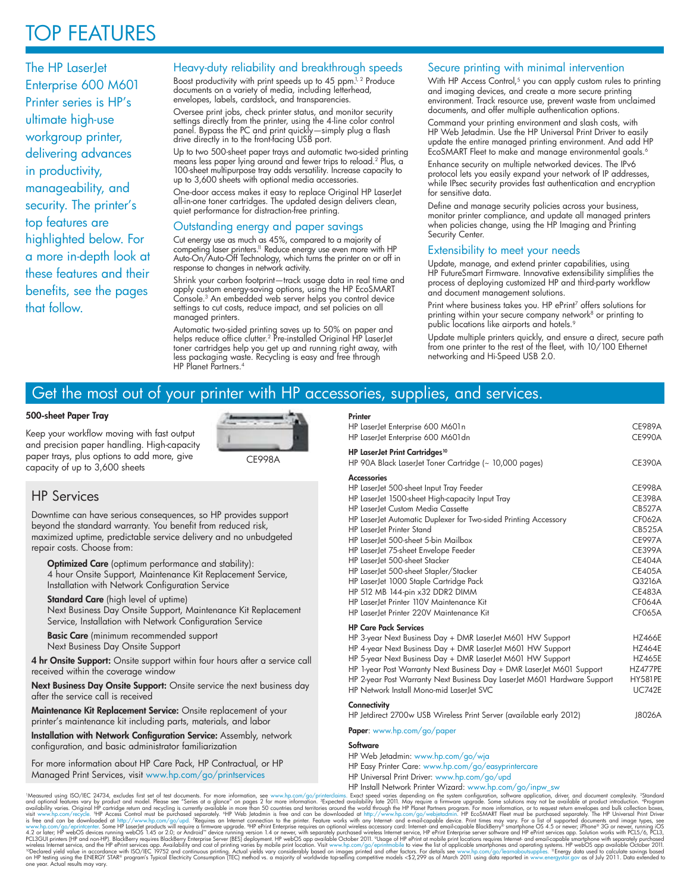## TOP FEATURES

The HP LaserJet Enterprise 600 M601 Printer series is HP's ultimate high-use workgroup printer, delivering advances in productivity, manageability, and security. The printer's top features are highlighted below. For a more in-depth look at these features and their benefits, see the pages that follow.

#### Heavy-duty reliability and breakthrough speeds

Boost productivity with print speeds up to 45 ppm. $1/2$  Produce documents on a variety of media, including letterhead, envelopes, labels, cardstock, and transparencies.

Oversee print jobs, check printer status, and monitor security settings directly from the printer, using the 4-line color control panel. Bypass the PC and print quickly—simply plug a flash drive directly in to the front-facing USB port.

Up to two 500-sheet paper trays and automatic two-sided printing means less paper lying around and fewer trips to reload.<sup>2</sup> Plus, a 100-sheet multipurpose tray adds versatility. Increase capacity to up to 3,600 sheets with optional media accessories.

One-door access makes it easy to replace Original HP LaserJet all-in-one toner cartridges. The updated design delivers clean, quiet performance for distraction-free printing.

#### Outstanding energy and paper savings

Cut energy use as much as 45%, compared to a majority of competing laser printers.<sup>11</sup> Reduce energy use even more with HP Auto-On/Auto-Off Technology, which turns the printer on or off in response to changes in network activity.

Shrink your carbon footprint—track usage data in real time and apply custom energy-saving options, using the HP EcoSMART Console.<sup>3</sup> An embedded web server helps you control device settings to cut costs, reduce impact, and set policies on all managed printers.

Automatic two-sided printing saves up to 50% on paper and helps reduce office clutter.<sup>2</sup> Pre-installed Original HP LaserJet toner cartridges help you get up and running right away, with less packaging waste. Recycling is easy and free through HP Planet Partners.<sup>4</sup>

#### Secure printing with minimal intervention

With HP Access Control,<sup>5</sup> you can apply custom rules to printing and imaging devices, and create a more secure printing environment. Track resource use, prevent waste from unclaimed documents, and offer multiple authentication options.

Command your printing environment and slash costs, with HP Web Jetadmin. Use the HP Universal Print Driver to easily update the entire managed printing environment. And add HP EcoSMART Fleet to make and manage environmental goals.<sup>6</sup>

Enhance security on multiple networked devices. The IPv6 protocol lets you easily expand your network of IP addresses, while IPsec security provides fast authentication and encryption for sensitive data.

Define and manage security policies across your business, monitor printer compliance, and update all managed printers when policies change, using the HP Imaging and Printing Security Center.

#### Extensibility to meet your needs

Update, manage, and extend printer capabilities, using HP FutureSmart Firmware. Innovative extensibility simplifies the process of deploying customized HP and third-party workflow and document management solutions.

Print where business takes you. HP ePrint<sup>7</sup> offers solutions for printing within your secure company network<sup>8</sup> or printing to public locations like airports and hotels.<sup>9</sup>

Update multiple printers quickly, and ensure a direct, secure path from one printer to the rest of the fleet, with 10/100 Ethernet networking and Hi-Speed USB 2.0.

### Get the most out of your printer with HP accessories, supplies, and services.

#### 500-sheet Paper Tray

Keep your workflow moving with fast output and precision paper handling. High-capacity paper trays, plus options to add more, give capacity of up to 3,600 sheets



CE998A

#### HP Services

Downtime can have serious consequences, so HP provides support beyond the standard warranty. You benefit from reduced risk, maximized uptime, predictable service delivery and no unbudgeted repair costs. Choose from:

Optimized Care (optimum performance and stability): 4 hour Onsite Support, Maintenance Kit Replacement Service, Installation with Network Configuration Service

#### **Standard Care** (high level of uptime)

Next Business Day Onsite Support, Maintenance Kit Replacement Service, Installation with Network Configuration Service

**Basic Care** (minimum recommended support Next Business Day Onsite Support

4 hr Onsite Support: Onsite support within four hours after a service call received within the coverage window

Next Business Day Onsite Support: Onsite service the next business day after the service call is received

Maintenance Kit Replacement Service: Onsite replacement of your printer's maintenance kit including parts, materials, and labor

Installation with Network Configuration Service: Assembly, network configuration, and basic administrator familiarization

For more information about HP Care Pack, HP Contractual, or HP Managed Print Services, visit www.hp.com/go/printservices

**Printer** HP LaserJet Enterprise 600 M601n CE989A HP LaserJet Enterprise 600 M601dn CE990A HP LaserJet Print Cartridges<sup>10</sup> HP 90A Black LaserJet Toner Cartridge (~ 10,000 pages) CE390A **Accessories** HP LaserJet 500-sheet Input Tray Feeder CE998A HP LaserJet 1500-sheet High-capacity Input Tray CE398A HP LaserJet Custom Media Cassette CB527A HP LaserJet Automatic Duplexer for Two-sided Printing Accessory CF062A HP LaserJet Printer Stand CB525A HP LaserJet 500-sheet 5-bin Mailbox CE997A HP LaserJet 75-sheet Envelope Feeder CE399A HP LaserJet 500-sheet Stacker CE404A HP LaserJet 500-sheet Stapler/Stacker CE405A HP LaserJet 1000 Staple Cartridge Pack Q3216A HP 512 MB 144-pin x32 DDR2 DIMM<br>HP Laserlet Printer 110V Maintenance Kit HP LaserJet Printer 110V Maintenance Kit HP LaserJet Printer 220V Maintenance Kit CF065A HP Care Pack Services HP 3-year Next Business Day + DMR LaserJet M601 HW Support HZ466E HP 4-year Next Business Day + DMR LaserJet M601 HW Support HZ464E<br>HP 5-year Next Business Day + DMR LaserJet M601 HW Support HZ465E HP 5-year Next Business Day + DMR LaserJet M601 HW Support HP 1-year Post Warranty Next Business Day + DMR LaserJet M601 Support HZ477PE HP 2-year Post Warranty Next Business Day LaserJet M601 Hardware Support HY581PE

#### **Connectivity**

| HP Jetdirect 2700w USB Wireless Print Server (available early 2012) |  |  | J8026A |
|---------------------------------------------------------------------|--|--|--------|

HP Network Install Mono-mid LaserJet SVC UC742E

Paper: www.hp.com/go/paper

#### **Software**

- HP Web Jetadmin: www.hp.com/go/wja
- HP Easy Printer Care: www.hp.com/go/easyprintercare
- 
- HP Universal Print Driver: www.hp.com/go/upd

"Measured using ISO/IEC 24734, excludes first set of test documents. For more information, see www.hp.com/go/printerclaint Wizard: www.hp.com/go/inpw\_sw<br>and optional technics wary by product and model. Please see "Series a